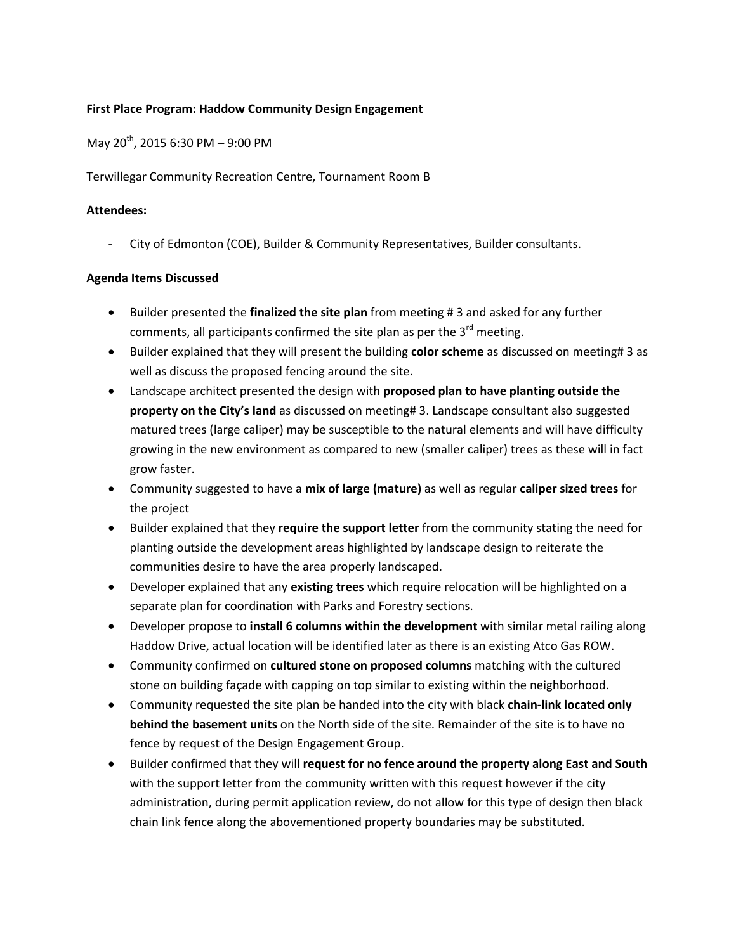## **First Place Program: Haddow Community Design Engagement**

May 20th, 2015 6:30 PM – 9:00 PM

Terwillegar Community Recreation Centre, Tournament Room B

## **Attendees:**

City of Edmonton (COE), Builder & Community Representatives, Builder consultants.

## **Agenda Items Discussed**

- Builder presented the **finalized the site plan** from meeting # 3 and asked for any further comments, all participants confirmed the site plan as per the 3<sup>rd</sup> meeting.
- Builder explained that they will present the building **color scheme** as discussed on meeting# 3 as well as discuss the proposed fencing around the site.
- Landscape architect presented the design with **proposed plan to have planting outside the property on the City's land** as discussed on meeting# 3. Landscape consultant also suggested matured trees (large caliper) may be susceptible to the natural elements and will have difficulty growing in the new environment as compared to new (smaller caliper) trees as these will in fact grow faster.
- Community suggested to have a **mix of large (mature)** as well as regular **caliper sized trees** for the project
- Builder explained that they **require the support letter** from the community stating the need for planting outside the development areas highlighted by landscape design to reiterate the communities desire to have the area properly landscaped.
- Developer explained that any **existing trees** which require relocation will be highlighted on a separate plan for coordination with Parks and Forestry sections.
- Developer propose to **install 6 columns within the development** with similar metal railing along Haddow Drive, actual location will be identified later as there is an existing Atco Gas ROW.
- Community confirmed on **cultured stone on proposed columns** matching with the cultured stone on building façade with capping on top similar to existing within the neighborhood.
- Community requested the site plan be handed into the city with black **chain-link located only behind the basement units** on the North side of the site. Remainder of the site is to have no fence by request of the Design Engagement Group.
- Builder confirmed that they will **request for no fence around the property along East and South**  with the support letter from the community written with this request however if the city administration, during permit application review, do not allow for this type of design then black chain link fence along the abovementioned property boundaries may be substituted.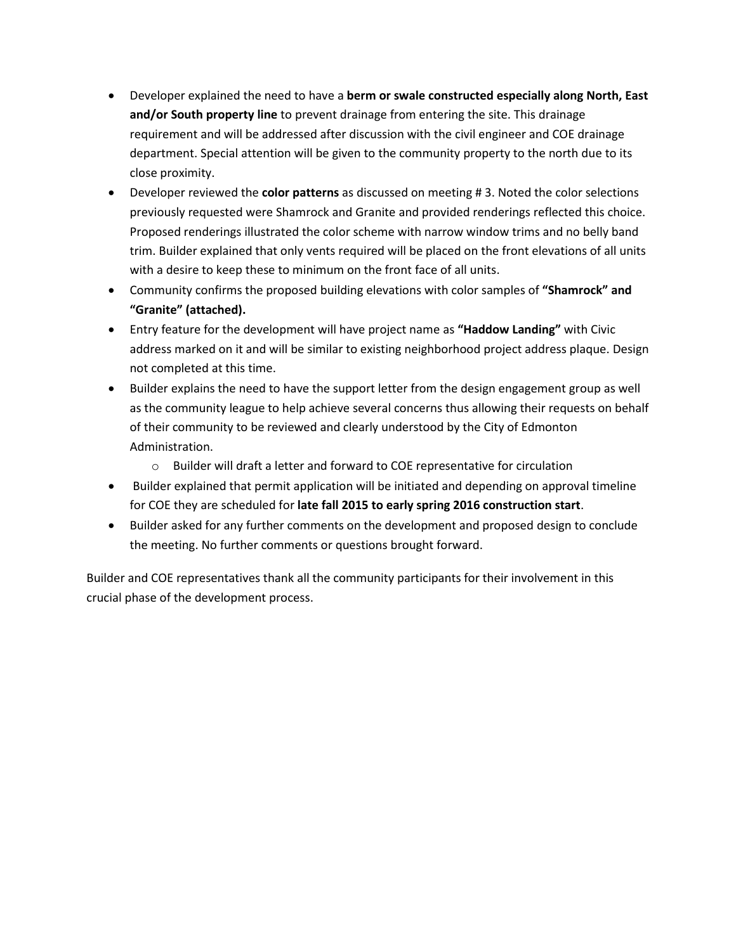- Developer explained the need to have a **berm or swale constructed especially along North, East and/or South property line** to prevent drainage from entering the site. This drainage requirement and will be addressed after discussion with the civil engineer and COE drainage department. Special attention will be given to the community property to the north due to its close proximity.
- Developer reviewed the **color patterns** as discussed on meeting # 3. Noted the color selections previously requested were Shamrock and Granite and provided renderings reflected this choice. Proposed renderings illustrated the color scheme with narrow window trims and no belly band trim. Builder explained that only vents required will be placed on the front elevations of all units with a desire to keep these to minimum on the front face of all units.
- Community confirms the proposed building elevations with color samples of **"Shamrock" and "Granite" (attached).**
- Entry feature for the development will have project name as **"Haddow Landing"** with Civic address marked on it and will be similar to existing neighborhood project address plaque. Design not completed at this time.
- Builder explains the need to have the support letter from the design engagement group as well as the community league to help achieve several concerns thus allowing their requests on behalf of their community to be reviewed and clearly understood by the City of Edmonton Administration.
	- o Builder will draft a letter and forward to COE representative for circulation
- Builder explained that permit application will be initiated and depending on approval timeline for COE they are scheduled for **late fall 2015 to early spring 2016 construction start**.
- Builder asked for any further comments on the development and proposed design to conclude the meeting. No further comments or questions brought forward.

Builder and COE representatives thank all the community participants for their involvement in this crucial phase of the development process.